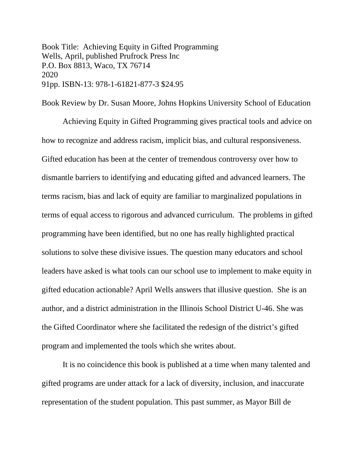Book Title: Achieving Equity in Gifted Programming Wells, April, published Prufrock Press Inc P.O. Box 8813, Waco, TX 76714 2020 91pp. ISBN-13: 978-1-61821-877-3 \$24.95

Book Review by Dr. Susan Moore, Johns Hopkins University School of Education Achieving Equity in Gifted Programming gives practical tools and advice on how to recognize and address racism, implicit bias, and cultural responsiveness. Gifted education has been at the center of tremendous controversy over how to dismantle barriers to identifying and educating gifted and advanced learners. The terms racism, bias and lack of equity are familiar to marginalized populations in terms of equal access to rigorous and advanced curriculum. The problems in gifted programming have been identified, but no one has really highlighted practical solutions to solve these divisive issues. The question many educators and school leaders have asked is what tools can our school use to implement to make equity in gifted education actionable? April Wells answers that illusive question. She is an author, and a district administration in the Illinois School District U-46. She was the Gifted Coordinator where she facilitated the redesign of the district's gifted program and implemented the tools which she writes about.

 It is no coincidence this book is published at a time when many talented and gifted programs are under attack for a lack of diversity, inclusion, and inaccurate representation of the student population. This past summer, as Mayor Bill de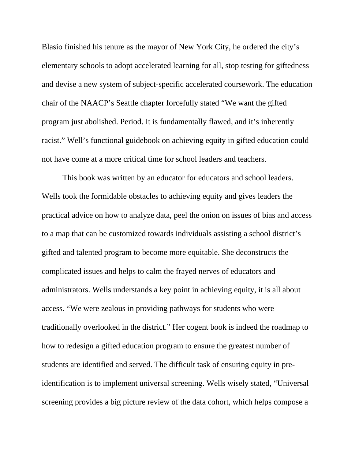Blasio finished his tenure as the mayor of New York City, he ordered the city's elementary schools to adopt accelerated learning for all, stop testing for giftedness and devise a new system of subject-specific accelerated coursework. The education chair of the NAACP's Seattle chapter forcefully stated "We want the gifted program just abolished. Period. It is fundamentally flawed, and it's inherently racist." Well's functional guidebook on achieving equity in gifted education could not have come at a more critical time for school leaders and teachers.

This book was written by an educator for educators and school leaders. Wells took the formidable obstacles to achieving equity and gives leaders the practical advice on how to analyze data, peel the onion on issues of bias and access to a map that can be customized towards individuals assisting a school district's gifted and talented program to become more equitable. She deconstructs the complicated issues and helps to calm the frayed nerves of educators and administrators. Wells understands a key point in achieving equity, it is all about access. "We were zealous in providing pathways for students who were traditionally overlooked in the district." Her cogent book is indeed the roadmap to how to redesign a gifted education program to ensure the greatest number of students are identified and served. The difficult task of ensuring equity in preidentification is to implement universal screening. Wells wisely stated, "Universal screening provides a big picture review of the data cohort, which helps compose a